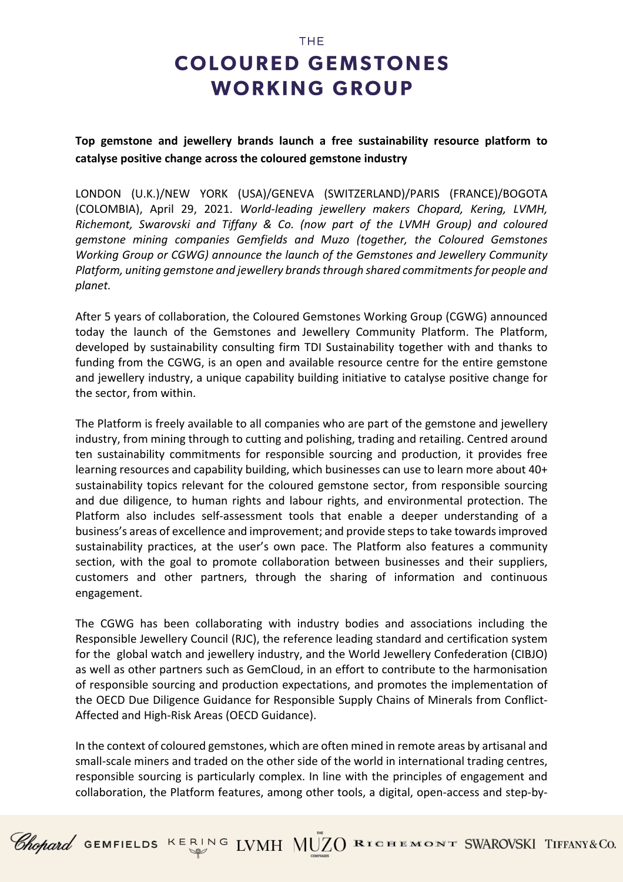## **COLOURED GEMSTONES WORKING GROUP**

**THE** 

### **Top gemstone and jewellery brands launch a free sustainability resource platform to catalyse positive change across the coloured gemstone industry**

LONDON (U.K.)/NEW YORK (USA)/GENEVA (SWITZERLAND)/PARIS (FRANCE)/BOGOTA (COLOMBIA), April 29, 2021. *World-leading jewellery makers Chopard, Kering, LVMH, Richemont, Swarovski and Tiffany & Co. (now part of the LVMH Group) and coloured gemstone mining companies Gemfields and Muzo (together, the Coloured Gemstones Working Group or CGWG) announce the launch of the Gemstones and Jewellery Community Platform, uniting gemstone and jewellery brandsthrough shared commitments for people and planet.*

After 5 years of collaboration, the Coloured Gemstones Working Group (CGWG) announced today the launch of the Gemstones and Jewellery Community Platform. The Platform, developed by sustainability consulting firm TDI Sustainability together with and thanks to funding from the CGWG, is an open and available resource centre for the entire gemstone and jewellery industry, a unique capability building initiative to catalyse positive change for the sector, from within.

The Platform is freely available to all companies who are part of the gemstone and jewellery industry, from mining through to cutting and polishing, trading and retailing. Centred around ten sustainability commitments for responsible sourcing and production, it provides free learning resources and capability building, which businesses can use to learn more about 40+ sustainability topics relevant for the coloured gemstone sector, from responsible sourcing and due diligence, to human rights and labour rights, and environmental protection. The Platform also includes self-assessment tools that enable a deeper understanding of a business's areas of excellence and improvement; and provide steps to take towards improved sustainability practices, at the user's own pace. The Platform also features a community section, with the goal to promote collaboration between businesses and their suppliers, customers and other partners, through the sharing of information and continuous engagement.

The CGWG has been collaborating with industry bodies and associations including the Responsible Jewellery Council (RJC), the reference leading standard and certification system for the global watch and jewellery industry, and the World Jewellery Confederation (CIBJO) as well as other partners such as GemCloud, in an effort to contribute to the harmonisation of responsible sourcing and production expectations, and promotes the implementation of the OECD Due Diligence Guidance for Responsible Supply Chains of Minerals from Conflict-Affected and High-Risk Areas (OECD Guidance).

In the context of coloured gemstones, which are often mined in remote areas by artisanal and small-scale miners and traded on the other side of the world in international trading centres, responsible sourcing is particularly complex. In line with the principles of engagement and collaboration, the Platform features, among other tools, a digital, open-access and step-by-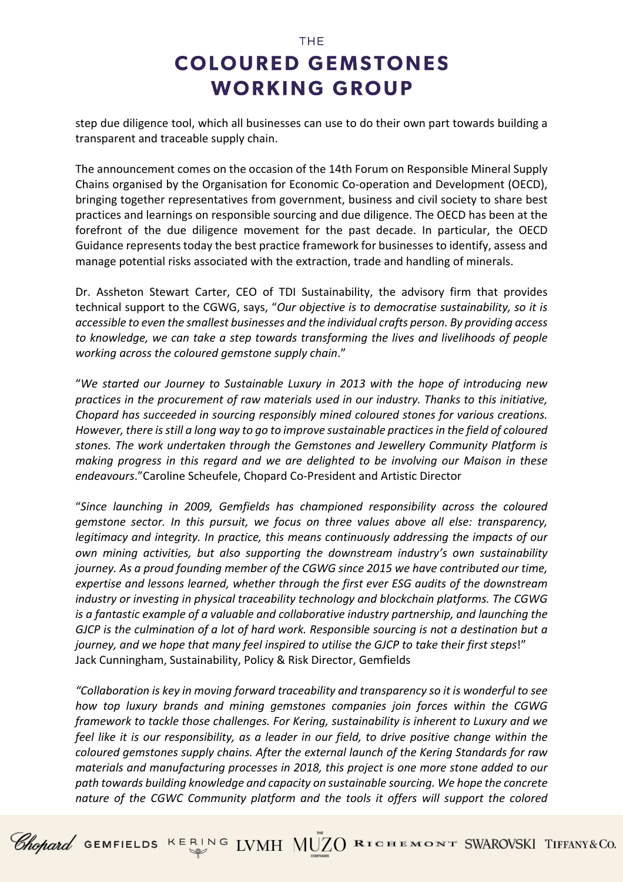## **THE COLOURED GEMSTONES WORKING GROUP**

step due diligence tool, which all businesses can use to do their own part towards building a transparent and traceable supply chain.

The announcement comes on the occasion of the 14th Forum on Responsible Mineral Supply Chains organised by the Organisation for Economic Co-operation and Development (OECD), bringing together representatives from government, business and civil society to share best practices and learnings on responsible sourcing and due diligence. The OECD has been at the forefront of the due diligence movement for the past decade. In particular, the OECD Guidance represents today the best practice framework for businesses to identify, assess and manage potential risks associated with the extraction, trade and handling of minerals.

Dr. Assheton Stewart Carter, CEO of TDI Sustainability, the advisory firm that provides technical support to the CGWG, says, "*Our objective is to democratise sustainability, so it is accessible to even the smallest businesses and the individual crafts person. By providing access to knowledge, we can take a step towards transforming the lives and livelihoods of people working across the coloured gemstone supply chain*."

"*We started our Journey to Sustainable Luxury in 2013 with the hope of introducing new practices in the procurement of raw materials used in our industry. Thanks to this initiative, Chopard has succeeded in sourcing responsibly mined coloured stones for various creations. However, there is still a long way to go to improve sustainable practices in the field of coloured stones. The work undertaken through the Gemstones and Jewellery Community Platform is making progress in this regard and we are delighted to be involving our Maison in these endeavours*."Caroline Scheufele, Chopard Co-President and Artistic Director

"*Since launching in 2009, Gemfields has championed responsibility across the coloured gemstone sector. In this pursuit, we focus on three values above all else: transparency, legitimacy and integrity. In practice, this means continuously addressing the impacts of our own mining activities, but also supporting the downstream industry's own sustainability journey. As a proud founding member of the CGWG since 2015 we have contributed our time, expertise and lessons learned, whether through the first ever ESG audits of the downstream industry or investing in physical traceability technology and blockchain platforms. The CGWG is a fantastic example of a valuable and collaborative industry partnership, and launching the GJCP is the culmination of a lot of hard work. Responsible sourcing is not a destination but a journey, and we hope that many feel inspired to utilise the GJCP to take their first steps*!" Jack Cunningham, Sustainability, Policy & Risk Director, Gemfields

*"Collaboration is key in moving forward traceability and transparency so it is wonderful to see how top luxury brands and mining gemstones companies join forces within the CGWG framework to tackle those challenges. For Kering, sustainability is inherent to Luxury and we feel like it is our responsibility, as a leader in our field, to drive positive change within the coloured gemstones supply chains. After the external launch of the Kering Standards for raw materials and manufacturing processes in 2018, this project is one more stone added to our path towards building knowledge and capacity on sustainable sourcing. We hope the concrete nature of the CGWC Community platform and the tools it offers will support the colored* 

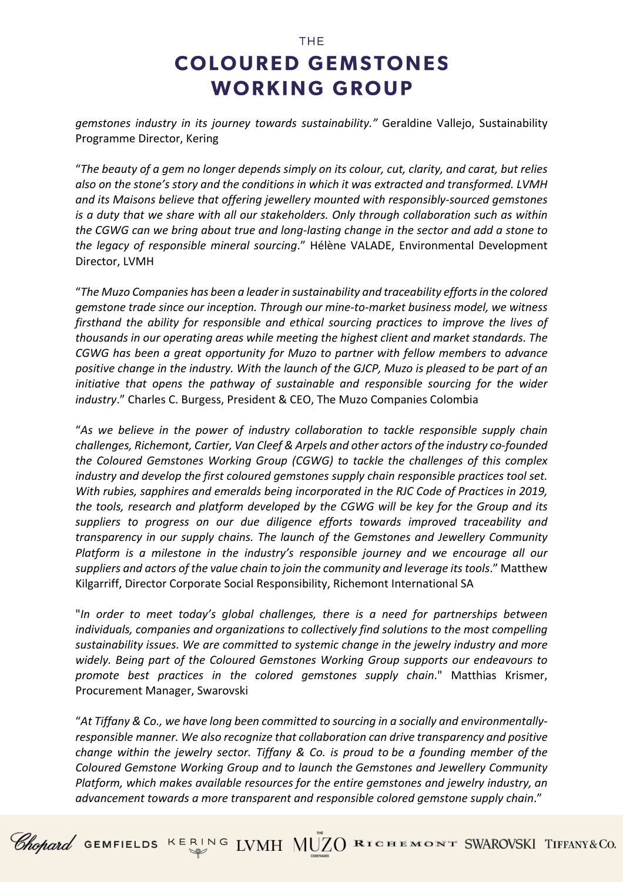# **COLOURED GEMSTONES WORKING GROUP**

**THE** 

*gemstones industry in its journey towards sustainability."* Geraldine Vallejo, Sustainability Programme Director, Kering

"*The beauty of a gem no longer depends simply on its colour, cut, clarity, and carat, but relies also on the stone's story and the conditions in which it was extracted and transformed. LVMH and its Maisons believe that offering jewellery mounted with responsibly-sourced gemstones is a duty that we share with all our stakeholders. Only through collaboration such as within the CGWG can we bring about true and long-lasting change in the sector and add a stone to the legacy of responsible mineral sourcing*." Hélène VALADE, Environmental Development Director, LVMH

"*The Muzo Companies has been a leader in sustainability and traceability efforts in the colored gemstone trade since our inception. Through our mine-to-market business model, we witness firsthand the ability for responsible and ethical sourcing practices to improve the lives of thousands in our operating areas while meeting the highest client and market standards. The CGWG has been a great opportunity for Muzo to partner with fellow members to advance positive change in the industry. With the launch of the GJCP, Muzo is pleased to be part of an initiative that opens the pathway of sustainable and responsible sourcing for the wider industry*." Charles C. Burgess, President & CEO, The Muzo Companies Colombia

"*As we believe in the power of industry collaboration to tackle responsible supply chain challenges, Richemont, Cartier, Van Cleef & Arpels and other actors of the industry co-founded the Coloured Gemstones Working Group (CGWG) to tackle the challenges of this complex industry and develop the first coloured gemstones supply chain responsible practices tool set. With rubies, sapphires and emeralds being incorporated in the RJC Code of Practices in 2019, the tools, research and platform developed by the CGWG will be key for the Group and its suppliers to progress on our due diligence efforts towards improved traceability and transparency in our supply chains. The launch of the Gemstones and Jewellery Community Platform is a milestone in the industry's responsible journey and we encourage all our suppliers and actors of the value chain to join the community and leverage its tools*." Matthew Kilgarriff, Director Corporate Social Responsibility, Richemont International SA

"*In order to meet today's global challenges, there is a need for partnerships between individuals, companies and organizations to collectively find solutions to the most compelling sustainability issues. We are committed to systemic change in the jewelry industry and more widely. Being part of the Coloured Gemstones Working Group supports our endeavours to promote best practices in the colored gemstones supply chain*." Matthias Krismer, Procurement Manager, Swarovski

"*At Tiffany & Co., we have long been committed to sourcing in a socially and environmentallyresponsible manner. We also recognize that collaboration can drive transparency and positive change within the jewelry sector. Tiffany & Co. is proud to be a founding member of the Coloured Gemstone Working Group and to launch the Gemstones and Jewellery Community Platform, which makes available resources for the entire gemstones and jewelry industry, an advancement towards a more transparent and responsible colored gemstone supply chain*."